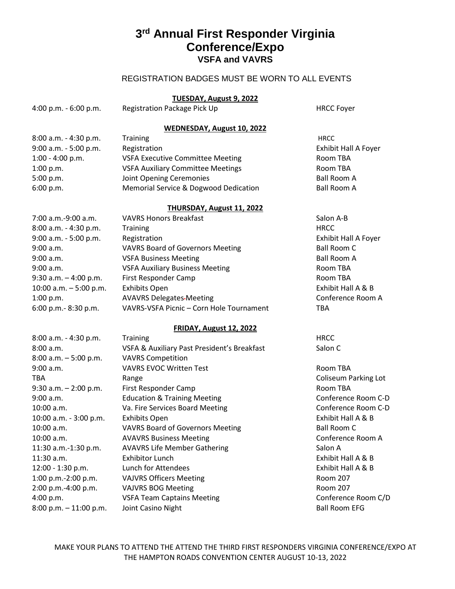# **3rd Annual First Responder Virginia Conference/Expo VSFA and VAVRS**

## REGISTRATION BADGES MUST BE WORN TO ALL EVENTS

### **TUESDAY, August 9, 2022**

| 4:00 p.m. - 6:00 p.m. | Registration Package Pick Up | <b>HRCC Foyer</b> |
|-----------------------|------------------------------|-------------------|
|                       |                              |                   |

### **WEDNESDAY, August 10, 2022**

| 8:00 a.m. - 4:30 p.m. | <b>Training</b>                          | <b>HRCC</b>                 |
|-----------------------|------------------------------------------|-----------------------------|
| 9:00 a.m. - 5:00 p.m. | Registration                             | <b>Exhibit Hall A Foyer</b> |
| $1:00 - 4:00 p.m.$    | <b>VSFA Executive Committee Meeting</b>  | Room TBA                    |
| 1:00 p.m.             | <b>VSFA Auxiliary Committee Meetings</b> | Room TBA                    |
| 5:00 p.m.             | Joint Opening Ceremonies                 | <b>Ball Room A</b>          |
| 6:00 p.m.             | Memorial Service & Dogwood Dedication    | <b>Ball Room A</b>          |
|                       |                                          |                             |

#### **THURSDAY, August 11, 2022**

| 7:00 a.m.-9:00 a.m.      | <b>VAVRS Honors Breakfast</b>            | Salon A-B            |
|--------------------------|------------------------------------------|----------------------|
| 8:00 a.m. - 4:30 p.m.    | <b>Training</b>                          | <b>HRCC</b>          |
| 9:00 a.m. - 5:00 p.m.    | Registration                             | Exhibit Hall A Foyer |
| 9:00 a.m.                | <b>VAVRS Board of Governors Meeting</b>  | <b>Ball Room C</b>   |
| 9:00 a.m.                | <b>VSFA Business Meeting</b>             | <b>Ball Room A</b>   |
| 9:00 a.m.                | <b>VSFA Auxiliary Business Meeting</b>   | Room TBA             |
| $9:30$ a.m. $-4:00$ p.m. | First Responder Camp                     | Room TBA             |
| 10:00 a.m. $-5:00$ p.m.  | <b>Exhibits Open</b>                     | Exhibit Hall A & B   |
| 1:00 p.m.                | <b>AVAVRS Delegates-Meeting</b>          | Conference Room A    |
| 6:00 p.m.- 8:30 p.m.     | VAVRS-VSFA Picnic - Corn Hole Tournament | <b>TBA</b>           |
|                          |                                          |                      |

#### **FRIDAY, August 12, 2022**

| <b>Training</b>                             | <b>HRCC</b>          |
|---------------------------------------------|----------------------|
| VSFA & Auxiliary Past President's Breakfast | Salon C              |
| <b>VAVRS Competition</b>                    |                      |
| <b>VAVRS EVOC Written Test</b>              | Room TBA             |
| Range                                       | Coliseum Parking Lot |
| First Responder Camp                        | Room TBA             |
| <b>Education &amp; Training Meeting</b>     | Conference Room C-D  |
| Va. Fire Services Board Meeting             | Conference Room C-D  |
| <b>Exhibits Open</b>                        | Exhibit Hall A & B   |
| <b>VAVRS Board of Governors Meeting</b>     | Ball Room C          |
| <b>AVAVRS Business Meeting</b>              | Conference Room A    |
| <b>AVAVRS Life Member Gathering</b>         | Salon A              |
| Exhibitor Lunch                             | Exhibit Hall A & B   |
| Lunch for Attendees                         | Exhibit Hall A & B   |
| <b>VAJVRS Officers Meeting</b>              | Room 207             |
| <b>VAJVRS BOG Meeting</b>                   | Room 207             |
| <b>VSFA Team Captains Meeting</b>           | Conference Room C/D  |
| Joint Casino Night                          | <b>Ball Room EFG</b> |
|                                             |                      |